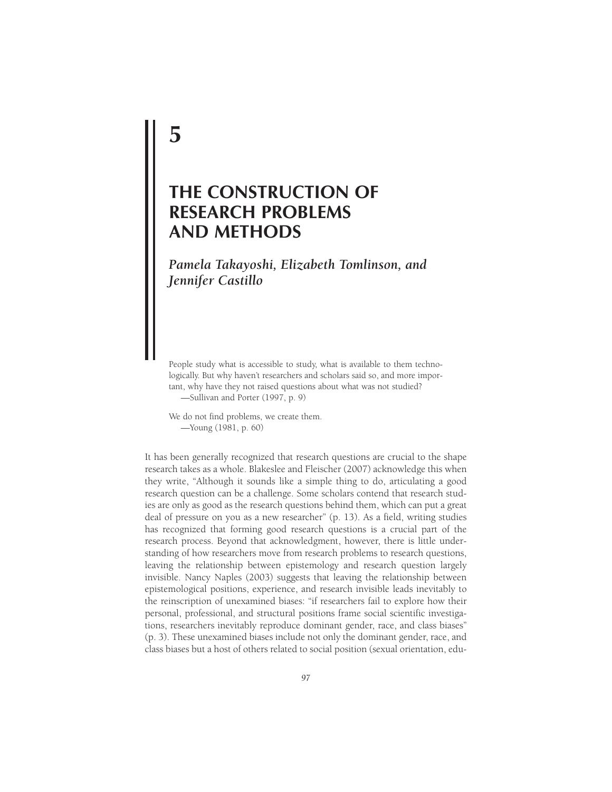# **THE CONSTRUCTION OF RESEARCH PROBLEMS AND METHODS**

*Pamela Takayoshi, Elizabeth Tomlinson, and Jennifer Castillo*

People study what is accessible to study, what is available to them technologically. But why haven't researchers and scholars said so, and more important, why have they not raised questions about what was not studied? —Sullivan and Porter (1997, p. 9)

We do not find problems, we create them. —Young (1981, p. 60)

It has been generally recognized that research questions are crucial to the shape research takes as a whole. Blakeslee and Fleischer (2007) acknowledge this when they write, "Although it sounds like a simple thing to do, articulating a good research question can be a challenge. Some scholars contend that research studies are only as good as the research questions behind them, which can put a great deal of pressure on you as a new researcher" (p. 13). As a field, writing studies has recognized that forming good research questions is a crucial part of the research process. Beyond that acknowledgment, however, there is little understanding of how researchers move from research problems to research questions, leaving the relationship between epistemology and research question largely invisible. Nancy Naples (2003) suggests that leaving the relationship between epistemological positions, experience, and research invisible leads inevitably to the reinscription of unexamined biases: "if researchers fail to explore how their personal, professional, and structural positions frame social scientific investigations, researchers inevitably reproduce dominant gender, race, and class biases" (p. 3). These unexamined biases include not only the dominant gender, race, and class biases but a host of others related to social position (sexual orientation, edu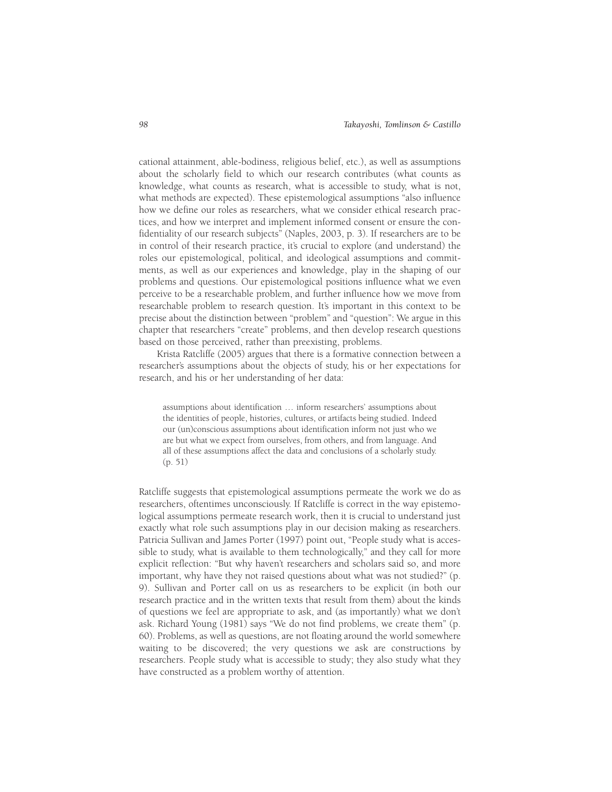cational attainment, able-bodiness, religious belief, etc.), as well as assumptions about the scholarly field to which our research contributes (what counts as knowledge, what counts as research, what is accessible to study, what is not, what methods are expected). These epistemological assumptions "also influence how we define our roles as researchers, what we consider ethical research practices, and how we interpret and implement informed consent or ensure the confidentiality of our research subjects" (Naples, 2003, p. 3). If researchers are to be in control of their research practice, it's crucial to explore (and understand) the roles our epistemological, political, and ideological assumptions and commitments, as well as our experiences and knowledge, play in the shaping of our problems and questions. Our epistemological positions influence what we even perceive to be a researchable problem, and further influence how we move from researchable problem to research question. It's important in this context to be precise about the distinction between "problem" and "question": We argue in this chapter that researchers "create" problems, and then develop research questions based on those perceived, rather than preexisting, problems.

Krista Ratcliffe (2005) argues that there is a formative connection between a researcher's assumptions about the objects of study, his or her expectations for research, and his or her understanding of her data:

assumptions about identification … inform researchers' assumptions about the identities of people, histories, cultures, or artifacts being studied. Indeed our (un)conscious assumptions about identification inform not just who we are but what we expect from ourselves, from others, and from language. And all of these assumptions affect the data and conclusions of a scholarly study. (p. 51)

Ratcliffe suggests that epistemological assumptions permeate the work we do as researchers, oftentimes unconsciously. If Ratcliffe is correct in the way epistemological assumptions permeate research work, then it is crucial to understand just exactly what role such assumptions play in our decision making as researchers. Patricia Sullivan and James Porter (1997) point out, "People study what is accessible to study, what is available to them technologically," and they call for more explicit reflection: "But why haven't researchers and scholars said so, and more important, why have they not raised questions about what was not studied?" (p. 9). Sullivan and Porter call on us as researchers to be explicit (in both our research practice and in the written texts that result from them) about the kinds of questions we feel are appropriate to ask, and (as importantly) what we don't ask. Richard Young (1981) says "We do not find problems, we create them" (p. 60). Problems, as well as questions, are not floating around the world somewhere waiting to be discovered; the very questions we ask are constructions by researchers. People study what is accessible to study; they also study what they have constructed as a problem worthy of attention.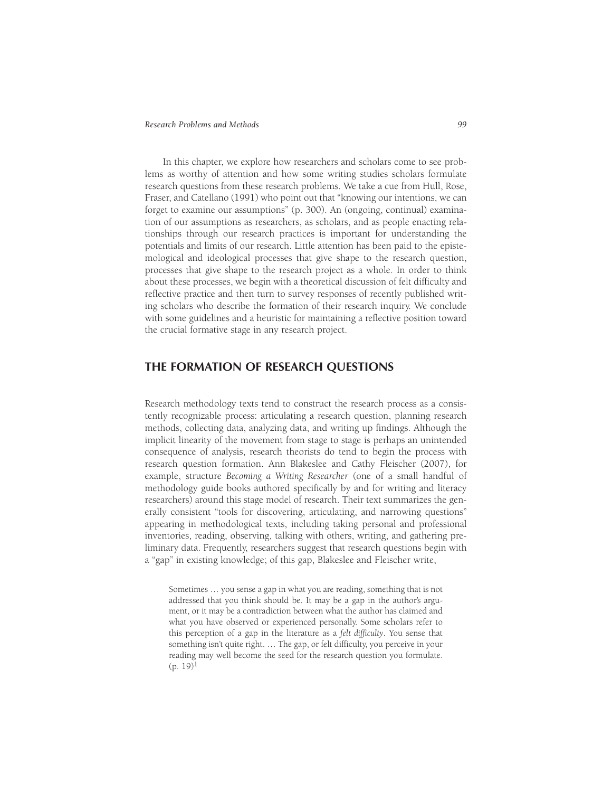In this chapter, we explore how researchers and scholars come to see problems as worthy of attention and how some writing studies scholars formulate research questions from these research problems. We take a cue from Hull, Rose, Fraser, and Catellano (1991) who point out that "knowing our intentions, we can forget to examine our assumptions" (p. 300). An (ongoing, continual) examination of our assumptions as researchers, as scholars, and as people enacting relationships through our research practices is important for understanding the potentials and limits of our research. Little attention has been paid to the epistemological and ideological processes that give shape to the research question, processes that give shape to the research project as a whole. In order to think about these processes, we begin with a theoretical discussion of felt difficulty and reflective practice and then turn to survey responses of recently published writing scholars who describe the formation of their research inquiry. We conclude with some guidelines and a heuristic for maintaining a reflective position toward the crucial formative stage in any research project.

#### **THE FORMATION OF RESEARCH QUESTIONS**

Research methodology texts tend to construct the research process as a consistently recognizable process: articulating a research question, planning research methods, collecting data, analyzing data, and writing up findings. Although the implicit linearity of the movement from stage to stage is perhaps an unintended consequence of analysis, research theorists do tend to begin the process with research question formation. Ann Blakeslee and Cathy Fleischer (2007), for example, structure *Becoming a Writing Researcher* (one of a small handful of methodology guide books authored specifically by and for writing and literacy researchers) around this stage model of research. Their text summarizes the generally consistent "tools for discovering, articulating, and narrowing questions" appearing in methodological texts, including taking personal and professional inventories, reading, observing, talking with others, writing, and gathering preliminary data. Frequently, researchers suggest that research questions begin with a "gap" in existing knowledge; of this gap, Blakeslee and Fleischer write,

Sometimes … you sense a gap in what you are reading, something that is not addressed that you think should be. It may be a gap in the author's argument, or it may be a contradiction between what the author has claimed and what you have observed or experienced personally. Some scholars refer to this perception of a gap in the literature as a *felt difficulty*. You sense that something isn't quite right. … The gap, or felt difficulty, you perceive in your reading may well become the seed for the research question you formulate.  $(p. 19)^1$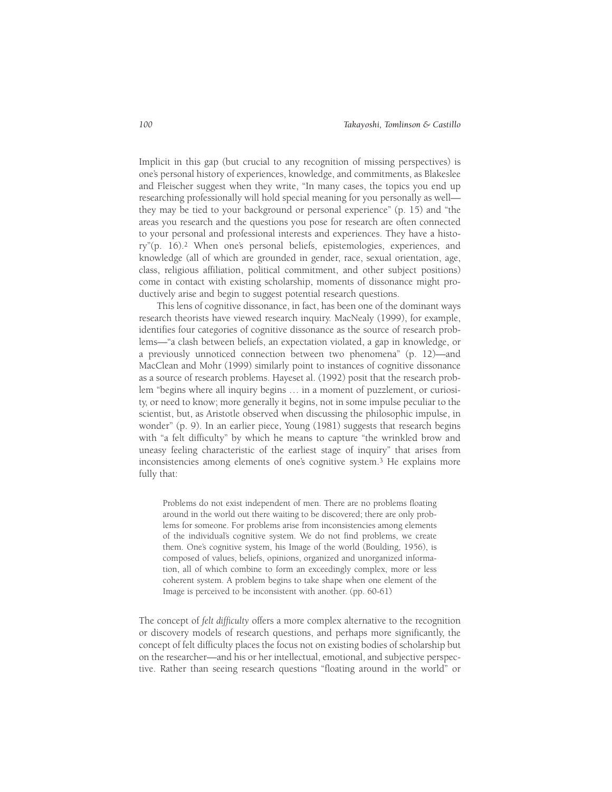Implicit in this gap (but crucial to any recognition of missing perspectives) is one's personal history of experiences, knowledge, and commitments, as Blakeslee and Fleischer suggest when they write, "In many cases, the topics you end up researching professionally will hold special meaning for you personally as well they may be tied to your background or personal experience" (p. 15) and "the areas you research and the questions you pose for research are often connected to your personal and professional interests and experiences. They have a history"(p. 16).2 When one's personal beliefs, epistemologies, experiences, and knowledge (all of which are grounded in gender, race, sexual orientation, age, class, religious affiliation, political commitment, and other subject positions) come in contact with existing scholarship, moments of dissonance might productively arise and begin to suggest potential research questions.

This lens of cognitive dissonance, in fact, has been one of the dominant ways research theorists have viewed research inquiry. MacNealy (1999), for example, identifies four categories of cognitive dissonance as the source of research problems—"a clash between beliefs, an expectation violated, a gap in knowledge, or a previously unnoticed connection between two phenomena" (p. 12)—and MacClean and Mohr (1999) similarly point to instances of cognitive dissonance as a source of research problems. Hayeset al. (1992) posit that the research problem "begins where all inquiry begins … in a moment of puzzlement, or curiosity, or need to know; more generally it begins, not in some impulse peculiar to the scientist, but, as Aristotle observed when discussing the philosophic impulse, in wonder" (p. 9). In an earlier piece, Young (1981) suggests that research begins with "a felt difficulty" by which he means to capture "the wrinkled brow and uneasy feeling characteristic of the earliest stage of inquiry" that arises from inconsistencies among elements of one's cognitive system.3 He explains more fully that:

Problems do not exist independent of men. There are no problems floating around in the world out there waiting to be discovered; there are only problems for someone. For problems arise from inconsistencies among elements of the individual's cognitive system. We do not find problems, we create them. One's cognitive system, his Image of the world (Boulding, 1956), is composed of values, beliefs, opinions, organized and unorganized information, all of which combine to form an exceedingly complex, more or less coherent system. A problem begins to take shape when one element of the Image is perceived to be inconsistent with another. (pp. 60-61)

The concept of *felt difficulty* offers a more complex alternative to the recognition or discovery models of research questions, and perhaps more significantly, the concept of felt difficulty places the focus not on existing bodies of scholarship but on the researcher—and his or her intellectual, emotional, and subjective perspective. Rather than seeing research questions "floating around in the world" or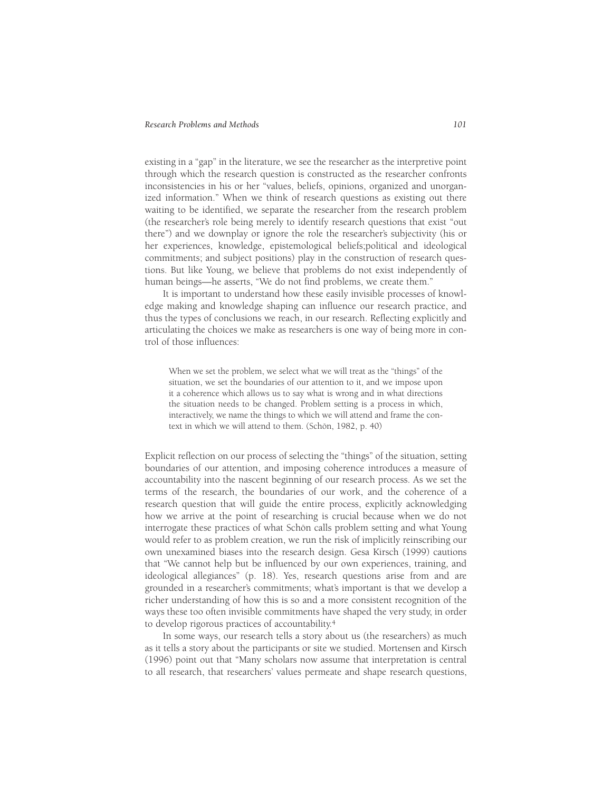existing in a "gap" in the literature, we see the researcher as the interpretive point through which the research question is constructed as the researcher confronts inconsistencies in his or her "values, beliefs, opinions, organized and unorganized information." When we think of research questions as existing out there waiting to be identified, we separate the researcher from the research problem (the researcher's role being merely to identify research questions that exist "out there") and we downplay or ignore the role the researcher's subjectivity (his or her experiences, knowledge, epistemological beliefs;political and ideological commitments; and subject positions) play in the construction of research questions. But like Young, we believe that problems do not exist independently of human beings—he asserts, "We do not find problems, we create them."

It is important to understand how these easily invisible processes of knowledge making and knowledge shaping can influence our research practice, and thus the types of conclusions we reach, in our research. Reflecting explicitly and articulating the choices we make as researchers is one way of being more in control of those influences:

When we set the problem, we select what we will treat as the "things" of the situation, we set the boundaries of our attention to it, and we impose upon it a coherence which allows us to say what is wrong and in what directions the situation needs to be changed. Problem setting is a process in which, interactively, we name the things to which we will attend and frame the context in which we will attend to them. (Schön, 1982, p. 40)

Explicit reflection on our process of selecting the "things" of the situation, setting boundaries of our attention, and imposing coherence introduces a measure of accountability into the nascent beginning of our research process. As we set the terms of the research, the boundaries of our work, and the coherence of a research question that will guide the entire process, explicitly acknowledging how we arrive at the point of researching is crucial because when we do not interrogate these practices of what Schön calls problem setting and what Young would refer to as problem creation, we run the risk of implicitly reinscribing our own unexamined biases into the research design. Gesa Kirsch (1999) cautions that "We cannot help but be influenced by our own experiences, training, and ideological allegiances" (p. 18). Yes, research questions arise from and are grounded in a researcher's commitments; what's important is that we develop a richer understanding of how this is so and a more consistent recognition of the ways these too often invisible commitments have shaped the very study, in order to develop rigorous practices of accountability.4

In some ways, our research tells a story about us (the researchers) as much as it tells a story about the participants or site we studied. Mortensen and Kirsch (1996) point out that "Many scholars now assume that interpretation is central to all research, that researchers' values permeate and shape research questions,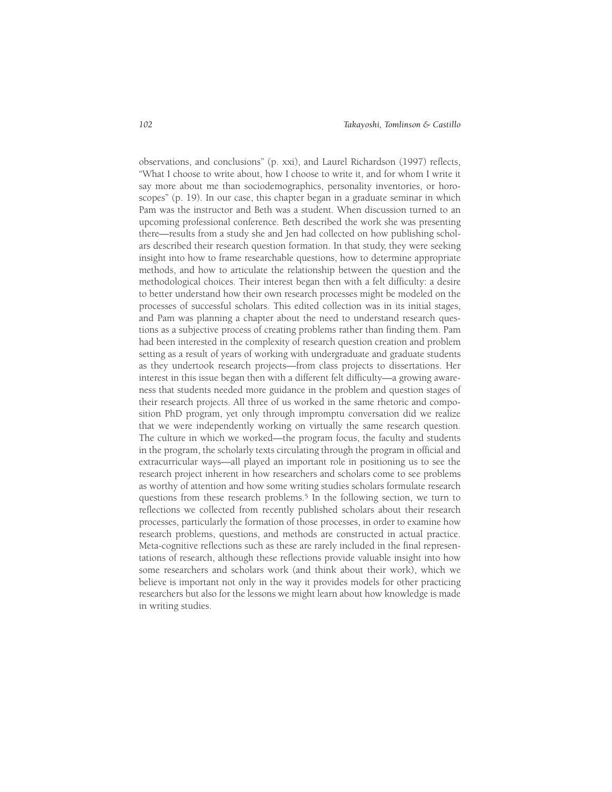observations, and conclusions" (p. xxi), and Laurel Richardson (1997) reflects, "What I choose to write about, how I choose to write it, and for whom I write it say more about me than sociodemographics, personality inventories, or horoscopes" (p. 19). In our case, this chapter began in a graduate seminar in which Pam was the instructor and Beth was a student. When discussion turned to an upcoming professional conference. Beth described the work she was presenting there—results from a study she and Jen had collected on how publishing scholars described their research question formation. In that study, they were seeking insight into how to frame researchable questions, how to determine appropriate methods, and how to articulate the relationship between the question and the methodological choices. Their interest began then with a felt difficulty: a desire to better understand how their own research processes might be modeled on the processes of successful scholars. This edited collection was in its initial stages, and Pam was planning a chapter about the need to understand research questions as a subjective process of creating problems rather than finding them. Pam had been interested in the complexity of research question creation and problem setting as a result of years of working with undergraduate and graduate students as they undertook research projects—from class projects to dissertations. Her interest in this issue began then with a different felt difficulty—a growing awareness that students needed more guidance in the problem and question stages of their research projects. All three of us worked in the same rhetoric and composition PhD program, yet only through impromptu conversation did we realize that we were independently working on virtually the same research question. The culture in which we worked—the program focus, the faculty and students in the program, the scholarly texts circulating through the program in official and extracurricular ways—all played an important role in positioning us to see the research project inherent in how researchers and scholars come to see problems as worthy of attention and how some writing studies scholars formulate research questions from these research problems.<sup>5</sup> In the following section, we turn to reflections we collected from recently published scholars about their research processes, particularly the formation of those processes, in order to examine how research problems, questions, and methods are constructed in actual practice. Meta-cognitive reflections such as these are rarely included in the final representations of research, although these reflections provide valuable insight into how some researchers and scholars work (and think about their work), which we believe is important not only in the way it provides models for other practicing researchers but also for the lessons we might learn about how knowledge is made in writing studies.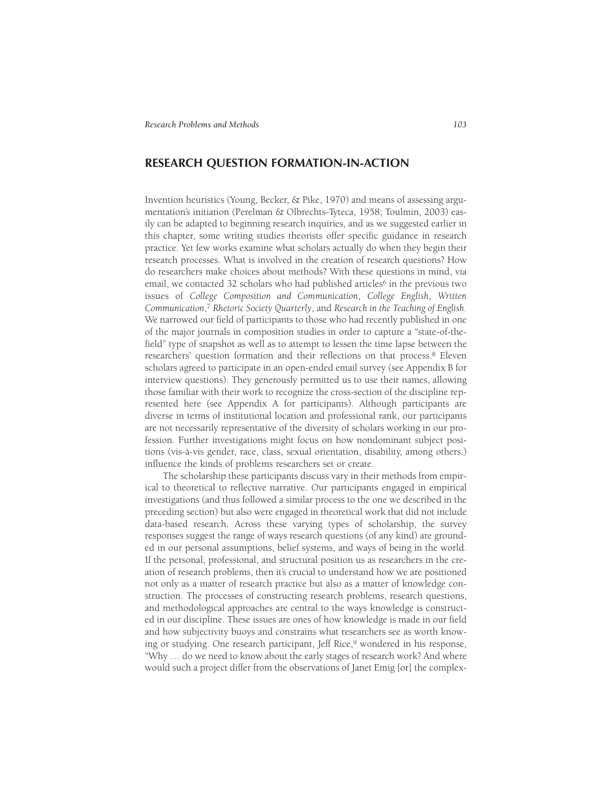#### **RESEARCH QUESTION FORMATION-IN-ACTION**

Invention heuristics (Young, Becker, & Pike, 1970) and means of assessing argumentation's initiation (Perelman & Olbrechts-Tyteca, 1958; Toulmin, 2003) easily can be adapted to beginning research inquiries, and as we suggested earlier in this chapter, some writing studies theorists offer specific guidance in research practice. Yet few works examine what scholars actually do when they begin their research processes. What is involved in the creation of research questions? How do researchers make choices about methods? With these questions in mind, via email, we contacted 32 scholars who had published articles<sup>6</sup> in the previous two issues of *College Composition and Communication*, *College English*, *Written Communication*,7 *Rhetoric Society Quarterly*, and *Research in the Teaching of English*. We narrowed our field of participants to those who had recently published in one of the major journals in composition studies in order to capture a "state-of-thefield" type of snapshot as well as to attempt to lessen the time lapse between the researchers' question formation and their reflections on that process.8 Eleven scholars agreed to participate in an open-ended email survey (see Appendix B for interview questions). They generously permitted us to use their names, allowing those familiar with their work to recognize the cross-section of the discipline represented here (see Appendix A for participants). Although participants are diverse in terms of institutional location and professional rank, our participants are not necessarily representative of the diversity of scholars working in our profession. Further investigations might focus on how nondominant subject positions (vis-à-vis gender, race, class, sexual orientation, disability, among others.) influence the kinds of problems researchers set or create.

The scholarship these participants discuss vary in their methods from empirical to theoretical to reflective narrative. Our participants engaged in empirical investigations (and thus followed a similar process to the one we described in the preceding section) but also were engaged in theoretical work that did not include data-based research. Across these varying types of scholarship, the survey responses suggest the range of ways research questions (of any kind) are grounded in our personal assumptions, belief systems, and ways of being in the world. If the personal, professional, and structural position us as researchers in the creation of research problems, then it's crucial to understand how we are positioned not only as a matter of research practice but also as a matter of knowledge construction. The processes of constructing research problems, research questions, and methodological approaches are central to the ways knowledge is constructed in our discipline. These issues are ones of how knowledge is made in our field and how subjectivity buoys and constrains what researchers see as worth knowing or studying. One research participant, Jeff Rice,<sup>9</sup> wondered in his response, "Why … do we need to know about the early stages of research work? And where would such a project differ from the observations of Janet Emig [or] the complex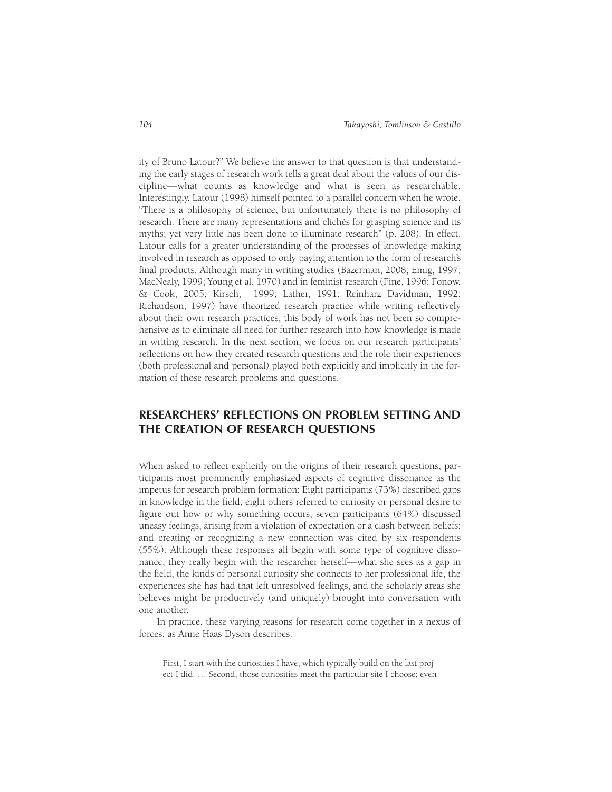ity of Bruno Latour?" We believe the answer to that question is that understanding the early stages of research work tells a great deal about the values of our discipline—what counts as knowledge and what is seen as researchable. Interestingly, Latour (1998) himself pointed to a parallel concern when he wrote, "There is a philosophy of science, but unfortunately there is no philosophy of research. There are many representations and clichés for grasping science and its myths; yet very little has been done to illuminate research" (p. 208). In effect, Latour calls for a greater understanding of the processes of knowledge making involved in research as opposed to only paying attention to the form of research's final products. Although many in writing studies (Bazerman, 2008; Emig, 1997; MacNealy, 1999; Young et al. 1970) and in feminist research (Fine, 1996; Fonow, & Cook, 2005; Kirsch, 1999; Lather, 1991; Reinharz Davidman, 1992; Richardson, 1997) have theorized research practice while writing reflectively about their own research practices, this body of work has not been so comprehensive as to eliminate all need for further research into how knowledge is made in writing research. In the next section, we focus on our research participants' reflections on how they created research questions and the role their experiences (both professional and personal) played both explicitly and implicitly in the formation of those research problems and questions.

# **RESEARCHERS' REFLECTIONS ON PROBLEM SETTING AND THE CREATION OF RESEARCH QUESTIONS**

When asked to reflect explicitly on the origins of their research questions, participants most prominently emphasized aspects of cognitive dissonance as the impetus for research problem formation: Eight participants (73%) described gaps in knowledge in the field; eight others referred to curiosity or personal desire to figure out how or why something occurs; seven participants (64%) discussed uneasy feelings, arising from a violation of expectation or a clash between beliefs; and creating or recognizing a new connection was cited by six respondents (55%). Although these responses all begin with some type of cognitive dissonance, they really begin with the researcher herself—what she sees as a gap in the field, the kinds of personal curiosity she connects to her professional life, the experiences she has had that left unresolved feelings, and the scholarly areas she believes might be productively (and uniquely) brought into conversation with one another.

In practice, these varying reasons for research come together in a nexus of forces, as Anne Haas Dyson describes:

First, I start with the curiosities I have, which typically build on the last project I did. … Second, those curiosities meet the particular site I choose; even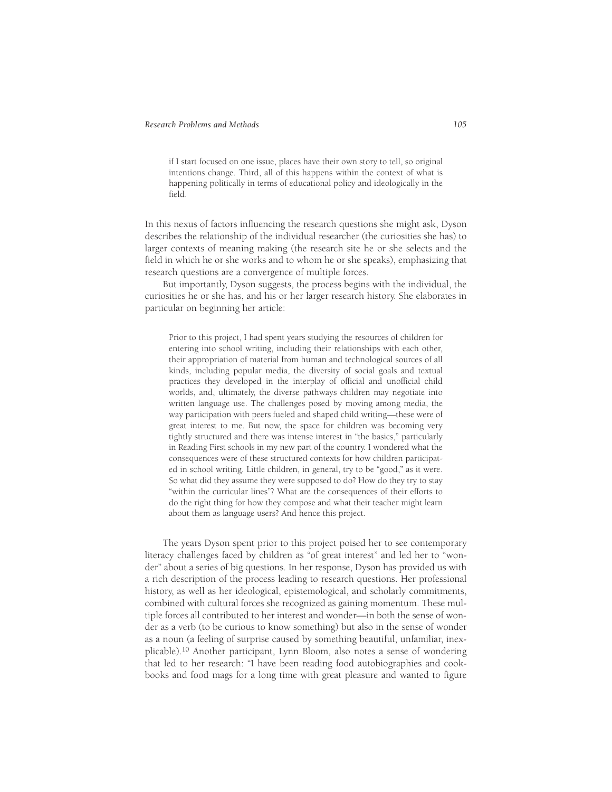#### *Research Problems and Methods 105*

if I start focused on one issue, places have their own story to tell, so original intentions change. Third, all of this happens within the context of what is happening politically in terms of educational policy and ideologically in the field.

In this nexus of factors influencing the research questions she might ask, Dyson describes the relationship of the individual researcher (the curiosities she has) to larger contexts of meaning making (the research site he or she selects and the field in which he or she works and to whom he or she speaks), emphasizing that research questions are a convergence of multiple forces.

But importantly, Dyson suggests, the process begins with the individual, the curiosities he or she has, and his or her larger research history. She elaborates in particular on beginning her article:

Prior to this project, I had spent years studying the resources of children for entering into school writing, including their relationships with each other, their appropriation of material from human and technological sources of all kinds, including popular media, the diversity of social goals and textual practices they developed in the interplay of official and unofficial child worlds, and, ultimately, the diverse pathways children may negotiate into written language use. The challenges posed by moving among media, the way participation with peers fueled and shaped child writing—these were of great interest to me. But now, the space for children was becoming very tightly structured and there was intense interest in "the basics," particularly in Reading First schools in my new part of the country. I wondered what the consequences were of these structured contexts for how children participated in school writing. Little children, in general, try to be "good," as it were. So what did they assume they were supposed to do? How do they try to stay "within the curricular lines"? What are the consequences of their efforts to do the right thing for how they compose and what their teacher might learn about them as language users? And hence this project.

The years Dyson spent prior to this project poised her to see contemporary literacy challenges faced by children as "of great interest" and led her to "wonder" about a series of big questions. In her response, Dyson has provided us with a rich description of the process leading to research questions. Her professional history, as well as her ideological, epistemological, and scholarly commitments, combined with cultural forces she recognized as gaining momentum. These multiple forces all contributed to her interest and wonder—in both the sense of wonder as a verb (to be curious to know something) but also in the sense of wonder as a noun (a feeling of surprise caused by something beautiful, unfamiliar, inexplicable).10 Another participant, Lynn Bloom, also notes a sense of wondering that led to her research: "I have been reading food autobiographies and cookbooks and food mags for a long time with great pleasure and wanted to figure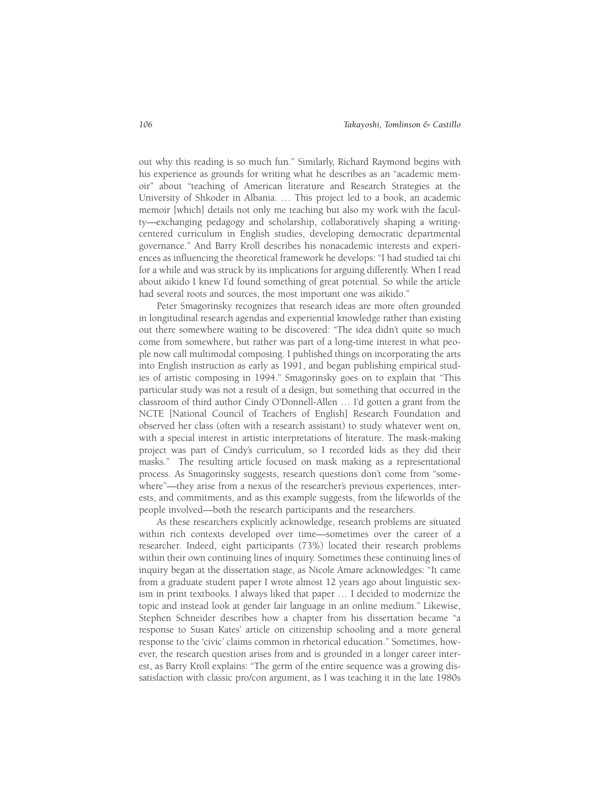out why this reading is so much fun." Similarly, Richard Raymond begins with his experience as grounds for writing what he describes as an "academic memoir" about "teaching of American literature and Research Strategies at the University of Shkoder in Albania. … This project led to a book, an academic memoir [which] details not only me teaching but also my work with the faculty—exchanging pedagogy and scholarship, collaboratively shaping a writingcentered curriculum in English studies, developing democratic departmental governance." And Barry Kroll describes his nonacademic interests and experiences as influencing the theoretical framework he develops: "I had studied tai chi for a while and was struck by its implications for arguing differently. When I read about aikido I knew I'd found something of great potential. So while the article had several roots and sources, the most important one was aikido."

Peter Smagorinsky recognizes that research ideas are more often grounded in longitudinal research agendas and experiential knowledge rather than existing out there somewhere waiting to be discovered: "The idea didn't quite so much come from somewhere, but rather was part of a long-time interest in what people now call multimodal composing. I published things on incorporating the arts into English instruction as early as 1991, and began publishing empirical studies of artistic composing in 1994." Smagorinsky goes on to explain that "This particular study was not a result of a design, but something that occurred in the classroom of third author Cindy O'Donnell-Allen … I'd gotten a grant from the NCTE [National Council of Teachers of English] Research Foundation and observed her class (often with a research assistant) to study whatever went on, with a special interest in artistic interpretations of literature. The mask-making project was part of Cindy's curriculum, so I recorded kids as they did their masks." The resulting article focused on mask making as a representational process. As Smagorinsky suggests, research questions don't come from "somewhere"—they arise from a nexus of the researcher's previous experiences, interests, and commitments, and as this example suggests, from the lifeworlds of the people involved—both the research participants and the researchers.

As these researchers explicitly acknowledge, research problems are situated within rich contexts developed over time—sometimes over the career of a researcher. Indeed, eight participants (73%) located their research problems within their own continuing lines of inquiry. Sometimes these continuing lines of inquiry began at the dissertation stage, as Nicole Amare acknowledges: "It came from a graduate student paper I wrote almost 12 years ago about linguistic sexism in print textbooks. I always liked that paper … I decided to modernize the topic and instead look at gender fair language in an online medium." Likewise, Stephen Schneider describes how a chapter from his dissertation became "a response to Susan Kates' article on citizenship schooling and a more general response to the 'civic' claims common in rhetorical education." Sometimes, however, the research question arises from and is grounded in a longer career interest, as Barry Kroll explains: "The germ of the entire sequence was a growing dissatisfaction with classic pro/con argument, as I was teaching it in the late 1980s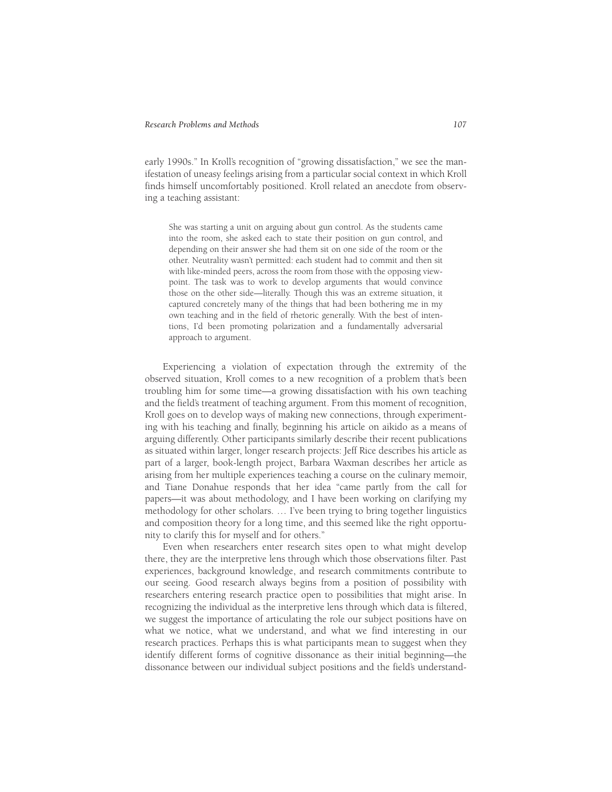early 1990s." In Kroll's recognition of "growing dissatisfaction," we see the manifestation of uneasy feelings arising from a particular social context in which Kroll finds himself uncomfortably positioned. Kroll related an anecdote from observing a teaching assistant:

She was starting a unit on arguing about gun control. As the students came into the room, she asked each to state their position on gun control, and depending on their answer she had them sit on one side of the room or the other. Neutrality wasn't permitted: each student had to commit and then sit with like-minded peers, across the room from those with the opposing viewpoint. The task was to work to develop arguments that would convince those on the other side—literally. Though this was an extreme situation, it captured concretely many of the things that had been bothering me in my own teaching and in the field of rhetoric generally. With the best of intentions, I'd been promoting polarization and a fundamentally adversarial approach to argument.

Experiencing a violation of expectation through the extremity of the observed situation, Kroll comes to a new recognition of a problem that's been troubling him for some time—a growing dissatisfaction with his own teaching and the field's treatment of teaching argument. From this moment of recognition, Kroll goes on to develop ways of making new connections, through experimenting with his teaching and finally, beginning his article on aikido as a means of arguing differently. Other participants similarly describe their recent publications as situated within larger, longer research projects: Jeff Rice describes his article as part of a larger, book-length project, Barbara Waxman describes her article as arising from her multiple experiences teaching a course on the culinary memoir, and Tiane Donahue responds that her idea "came partly from the call for papers—it was about methodology, and I have been working on clarifying my methodology for other scholars. … I've been trying to bring together linguistics and composition theory for a long time, and this seemed like the right opportunity to clarify this for myself and for others."

Even when researchers enter research sites open to what might develop there, they are the interpretive lens through which those observations filter. Past experiences, background knowledge, and research commitments contribute to our seeing. Good research always begins from a position of possibility with researchers entering research practice open to possibilities that might arise. In recognizing the individual as the interpretive lens through which data is filtered, we suggest the importance of articulating the role our subject positions have on what we notice, what we understand, and what we find interesting in our research practices. Perhaps this is what participants mean to suggest when they identify different forms of cognitive dissonance as their initial beginning—the dissonance between our individual subject positions and the field's understand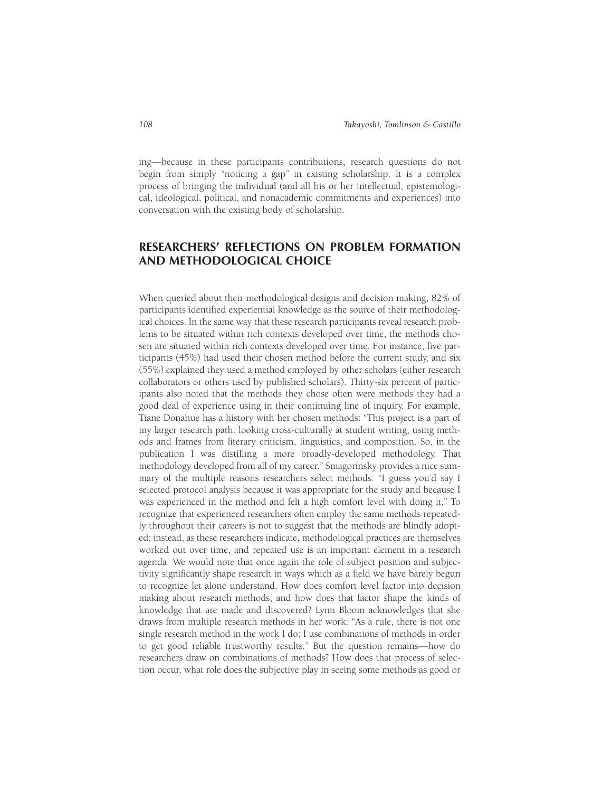ing—because in these participants contributions, research questions do not begin from simply "noticing a gap" in existing scholarship. It is a complex process of bringing the individual (and all his or her intellectual, epistemological, ideological, political, and nonacademic commitments and experiences) into conversation with the existing body of scholarship.

# **RESEARCHERS' REFLECTIONS ON PROBLEM FORMATION AND METHODOLOGICAL CHOICE**

When queried about their methodological designs and decision making, 82% of participants identified experiential knowledge as the source of their methodological choices. In the same way that these research participants reveal research problems to be situated within rich contexts developed over time, the methods chosen are situated within rich contexts developed over time. For instance, five participants (45%) had used their chosen method before the current study, and six (55%) explained they used a method employed by other scholars (either research collaborators or others used by published scholars). Thirty-six percent of participants also noted that the methods they chose often were methods they had a good deal of experience using in their continuing line of inquiry. For example, Tiane Donahue has a history with her chosen methods: "This project is a part of my larger research path: looking cross-culturally at student writing, using methods and frames from literary criticism, linguistics, and composition. So, in the publication I was distilling a more broadly-developed methodology. That methodology developed from all of my career." Smagorinsky provides a nice summary of the multiple reasons researchers select methods: "I guess you'd say I selected protocol analysis because it was appropriate for the study and because I was experienced in the method and felt a high comfort level with doing it." To recognize that experienced researchers often employ the same methods repeatedly throughout their careers is not to suggest that the methods are blindly adopted; instead, as these researchers indicate, methodological practices are themselves worked out over time, and repeated use is an important element in a research agenda. We would note that once again the role of subject position and subjectivity significantly shape research in ways which as a field we have barely begun to recognize let alone understand. How does comfort level factor into decision making about research methods, and how does that factor shape the kinds of knowledge that are made and discovered? Lynn Bloom acknowledges that she draws from multiple research methods in her work: "As a rule, there is not one single research method in the work I do; I use combinations of methods in order to get good reliable trustworthy results." But the question remains—how do researchers draw on combinations of methods? How does that process of selection occur, what role does the subjective play in seeing some methods as good or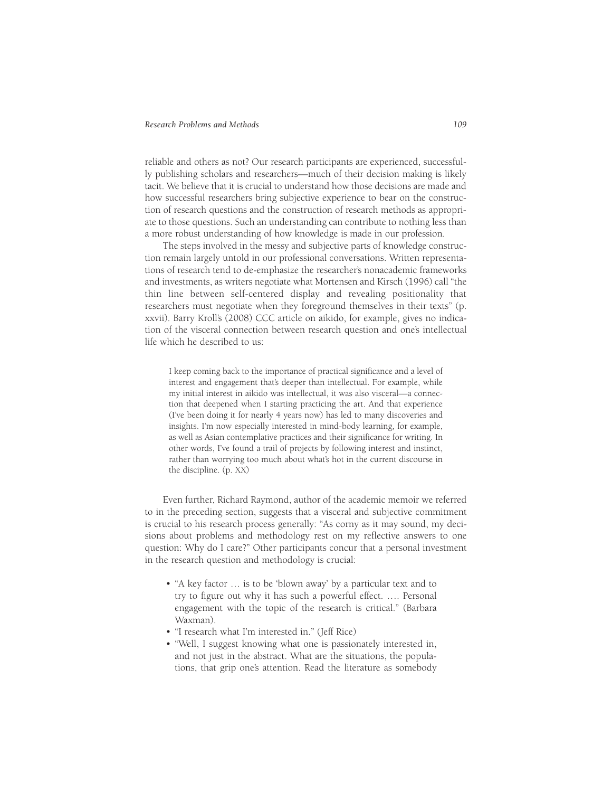reliable and others as not? Our research participants are experienced, successfully publishing scholars and researchers—much of their decision making is likely tacit. We believe that it is crucial to understand how those decisions are made and how successful researchers bring subjective experience to bear on the construction of research questions and the construction of research methods as appropriate to those questions. Such an understanding can contribute to nothing less than a more robust understanding of how knowledge is made in our profession.

The steps involved in the messy and subjective parts of knowledge construction remain largely untold in our professional conversations. Written representations of research tend to de-emphasize the researcher's nonacademic frameworks and investments, as writers negotiate what Mortensen and Kirsch (1996) call "the thin line between self-centered display and revealing positionality that researchers must negotiate when they foreground themselves in their texts" (p. xxvii). Barry Kroll's (2008) CCC article on aikido, for example, gives no indication of the visceral connection between research question and one's intellectual life which he described to us:

I keep coming back to the importance of practical significance and a level of interest and engagement that's deeper than intellectual. For example, while my initial interest in aikido was intellectual, it was also visceral—a connection that deepened when I starting practicing the art. And that experience (I've been doing it for nearly 4 years now) has led to many discoveries and insights. I'm now especially interested in mind-body learning, for example, as well as Asian contemplative practices and their significance for writing. In other words, I've found a trail of projects by following interest and instinct, rather than worrying too much about what's hot in the current discourse in the discipline. (p. XX)

Even further, Richard Raymond, author of the academic memoir we referred to in the preceding section, suggests that a visceral and subjective commitment is crucial to his research process generally: "As corny as it may sound, my decisions about problems and methodology rest on my reflective answers to one question: Why do I care?" Other participants concur that a personal investment in the research question and methodology is crucial:

- "A key factor … is to be 'blown away' by a particular text and to try to figure out why it has such a powerful effect. …. Personal engagement with the topic of the research is critical." (Barbara Waxman).
- "I research what I'm interested in." (Jeff Rice)
- "Well, I suggest knowing what one is passionately interested in, and not just in the abstract. What are the situations, the populations, that grip one's attention. Read the literature as somebody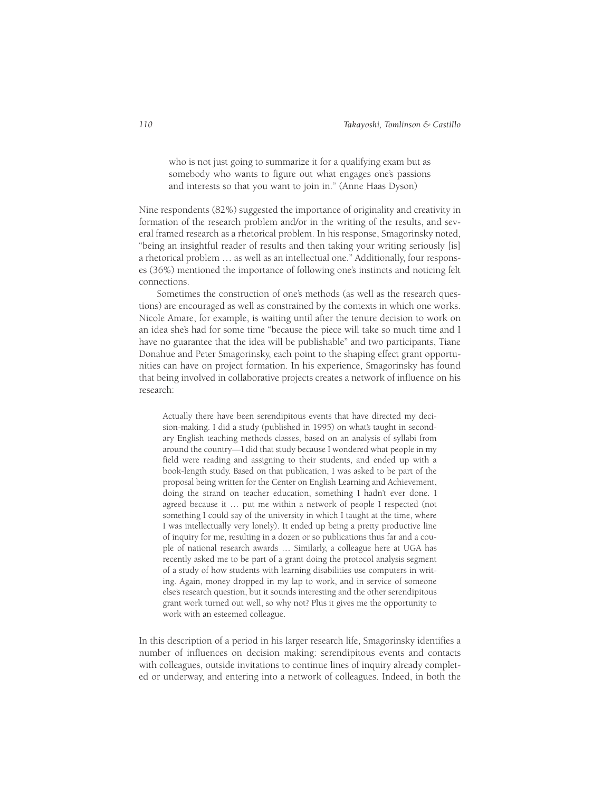who is not just going to summarize it for a qualifying exam but as somebody who wants to figure out what engages one's passions and interests so that you want to join in." (Anne Haas Dyson)

Nine respondents (82%) suggested the importance of originality and creativity in formation of the research problem and/or in the writing of the results, and several framed research as a rhetorical problem. In his response, Smagorinsky noted, "being an insightful reader of results and then taking your writing seriously [is] a rhetorical problem … as well as an intellectual one." Additionally, four responses (36%) mentioned the importance of following one's instincts and noticing felt connections.

Sometimes the construction of one's methods (as well as the research questions) are encouraged as well as constrained by the contexts in which one works. Nicole Amare, for example, is waiting until after the tenure decision to work on an idea she's had for some time "because the piece will take so much time and I have no guarantee that the idea will be publishable" and two participants, Tiane Donahue and Peter Smagorinsky, each point to the shaping effect grant opportunities can have on project formation. In his experience, Smagorinsky has found that being involved in collaborative projects creates a network of influence on his research:

Actually there have been serendipitous events that have directed my decision-making. I did a study (published in 1995) on what's taught in secondary English teaching methods classes, based on an analysis of syllabi from around the country—I did that study because I wondered what people in my field were reading and assigning to their students, and ended up with a book-length study. Based on that publication, I was asked to be part of the proposal being written for the Center on English Learning and Achievement, doing the strand on teacher education, something I hadn't ever done. I agreed because it … put me within a network of people I respected (not something I could say of the university in which I taught at the time, where I was intellectually very lonely). It ended up being a pretty productive line of inquiry for me, resulting in a dozen or so publications thus far and a couple of national research awards … Similarly, a colleague here at UGA has recently asked me to be part of a grant doing the protocol analysis segment of a study of how students with learning disabilities use computers in writing. Again, money dropped in my lap to work, and in service of someone else's research question, but it sounds interesting and the other serendipitous grant work turned out well, so why not? Plus it gives me the opportunity to work with an esteemed colleague.

In this description of a period in his larger research life, Smagorinsky identifies a number of influences on decision making: serendipitous events and contacts with colleagues, outside invitations to continue lines of inquiry already completed or underway, and entering into a network of colleagues. Indeed, in both the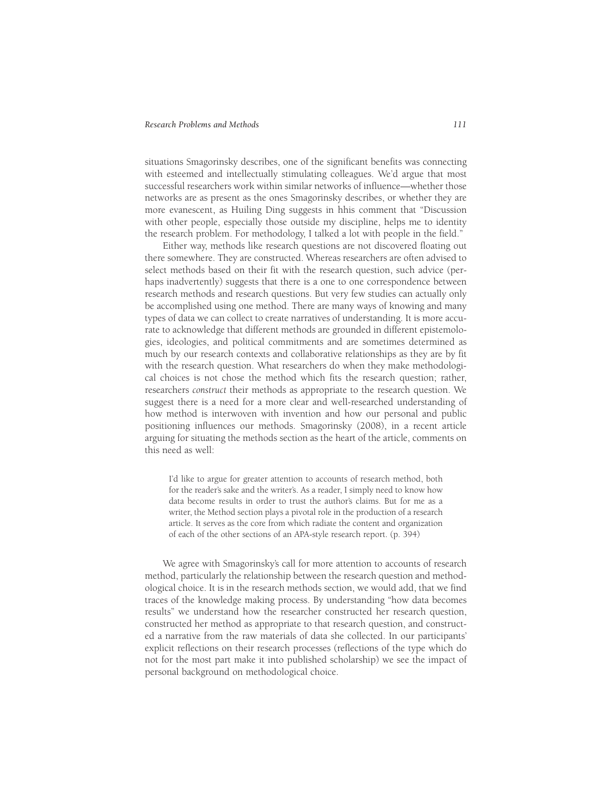situations Smagorinsky describes, one of the significant benefits was connecting with esteemed and intellectually stimulating colleagues. We'd argue that most successful researchers work within similar networks of influence—whether those networks are as present as the ones Smagorinsky describes, or whether they are more evanescent, as Huiling Ding suggests in hhis comment that "Discussion with other people, especially those outside my discipline, helps me to identity the research problem. For methodology, I talked a lot with people in the field."

Either way, methods like research questions are not discovered floating out there somewhere. They are constructed. Whereas researchers are often advised to select methods based on their fit with the research question, such advice (perhaps inadvertently) suggests that there is a one to one correspondence between research methods and research questions. But very few studies can actually only be accomplished using one method. There are many ways of knowing and many types of data we can collect to create narratives of understanding. It is more accurate to acknowledge that different methods are grounded in different epistemologies, ideologies, and political commitments and are sometimes determined as much by our research contexts and collaborative relationships as they are by fit with the research question. What researchers do when they make methodological choices is not chose the method which fits the research question; rather, researchers *construct* their methods as appropriate to the research question. We suggest there is a need for a more clear and well-researched understanding of how method is interwoven with invention and how our personal and public positioning influences our methods. Smagorinsky (2008), in a recent article arguing for situating the methods section as the heart of the article, comments on this need as well:

I'd like to argue for greater attention to accounts of research method, both for the reader's sake and the writer's. As a reader, I simply need to know how data become results in order to trust the author's claims. But for me as a writer, the Method section plays a pivotal role in the production of a research article. It serves as the core from which radiate the content and organization of each of the other sections of an APA-style research report. (p. 394)

We agree with Smagorinsky's call for more attention to accounts of research method, particularly the relationship between the research question and methodological choice. It is in the research methods section, we would add, that we find traces of the knowledge making process. By understanding "how data becomes results" we understand how the researcher constructed her research question, constructed her method as appropriate to that research question, and constructed a narrative from the raw materials of data she collected. In our participants' explicit reflections on their research processes (reflections of the type which do not for the most part make it into published scholarship) we see the impact of personal background on methodological choice.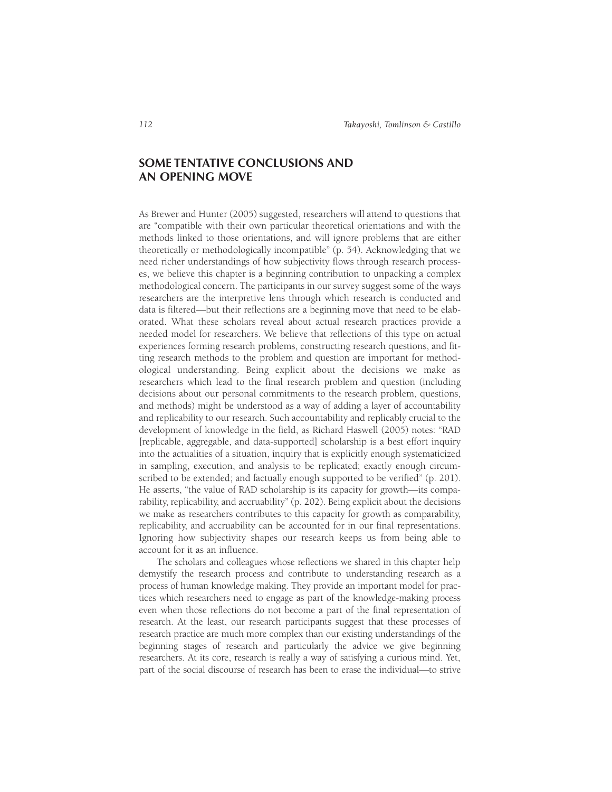# **SOME TENTATIVE CONCLUSIONS AND AN OPENING MOVE**

As Brewer and Hunter (2005) suggested, researchers will attend to questions that are "compatible with their own particular theoretical orientations and with the methods linked to those orientations, and will ignore problems that are either theoretically or methodologically incompatible" (p. 54). Acknowledging that we need richer understandings of how subjectivity flows through research processes, we believe this chapter is a beginning contribution to unpacking a complex methodological concern. The participants in our survey suggest some of the ways researchers are the interpretive lens through which research is conducted and data is filtered—but their reflections are a beginning move that need to be elaborated. What these scholars reveal about actual research practices provide a needed model for researchers. We believe that reflections of this type on actual experiences forming research problems, constructing research questions, and fitting research methods to the problem and question are important for methodological understanding. Being explicit about the decisions we make as researchers which lead to the final research problem and question (including decisions about our personal commitments to the research problem, questions, and methods) might be understood as a way of adding a layer of accountability and replicability to our research. Such accountability and replicably crucial to the development of knowledge in the field, as Richard Haswell (2005) notes: "RAD [replicable, aggregable, and data-supported] scholarship is a best effort inquiry into the actualities of a situation, inquiry that is explicitly enough systematicized in sampling, execution, and analysis to be replicated; exactly enough circumscribed to be extended; and factually enough supported to be verified" (p. 201). He asserts, "the value of RAD scholarship is its capacity for growth—its comparability, replicability, and accruability" (p. 202). Being explicit about the decisions we make as researchers contributes to this capacity for growth as comparability, replicability, and accruability can be accounted for in our final representations. Ignoring how subjectivity shapes our research keeps us from being able to account for it as an influence.

The scholars and colleagues whose reflections we shared in this chapter help demystify the research process and contribute to understanding research as a process of human knowledge making. They provide an important model for practices which researchers need to engage as part of the knowledge-making process even when those reflections do not become a part of the final representation of research. At the least, our research participants suggest that these processes of research practice are much more complex than our existing understandings of the beginning stages of research and particularly the advice we give beginning researchers. At its core, research is really a way of satisfying a curious mind. Yet, part of the social discourse of research has been to erase the individual—to strive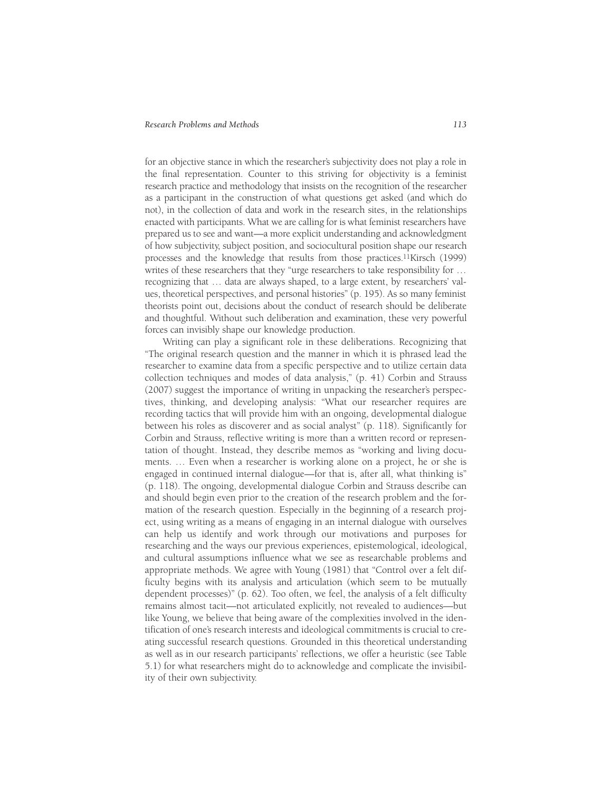for an objective stance in which the researcher's subjectivity does not play a role in the final representation. Counter to this striving for objectivity is a feminist research practice and methodology that insists on the recognition of the researcher as a participant in the construction of what questions get asked (and which do not), in the collection of data and work in the research sites, in the relationships enacted with participants. What we are calling for is what feminist researchers have prepared us to see and want—a more explicit understanding and acknowledgment of how subjectivity, subject position, and sociocultural position shape our research processes and the knowledge that results from those practices.11Kirsch (1999) writes of these researchers that they "urge researchers to take responsibility for ... recognizing that … data are always shaped, to a large extent, by researchers' values, theoretical perspectives, and personal histories" (p. 195). As so many feminist theorists point out, decisions about the conduct of research should be deliberate and thoughtful. Without such deliberation and examination, these very powerful forces can invisibly shape our knowledge production.

Writing can play a significant role in these deliberations. Recognizing that "The original research question and the manner in which it is phrased lead the researcher to examine data from a specific perspective and to utilize certain data collection techniques and modes of data analysis," (p. 41) Corbin and Strauss (2007) suggest the importance of writing in unpacking the researcher's perspectives, thinking, and developing analysis: "What our researcher requires are recording tactics that will provide him with an ongoing, developmental dialogue between his roles as discoverer and as social analyst" (p. 118). Significantly for Corbin and Strauss, reflective writing is more than a written record or representation of thought. Instead, they describe memos as "working and living documents. … Even when a researcher is working alone on a project, he or she is engaged in continued internal dialogue—for that is, after all, what thinking is" (p. 118). The ongoing, developmental dialogue Corbin and Strauss describe can and should begin even prior to the creation of the research problem and the formation of the research question. Especially in the beginning of a research project, using writing as a means of engaging in an internal dialogue with ourselves can help us identify and work through our motivations and purposes for researching and the ways our previous experiences, epistemological, ideological, and cultural assumptions influence what we see as researchable problems and appropriate methods. We agree with Young (1981) that "Control over a felt difficulty begins with its analysis and articulation (which seem to be mutually dependent processes)" (p. 62). Too often, we feel, the analysis of a felt difficulty remains almost tacit—not articulated explicitly, not revealed to audiences—but like Young, we believe that being aware of the complexities involved in the identification of one's research interests and ideological commitments is crucial to creating successful research questions. Grounded in this theoretical understanding as well as in our research participants' reflections, we offer a heuristic (see Table 5.1) for what researchers might do to acknowledge and complicate the invisibility of their own subjectivity.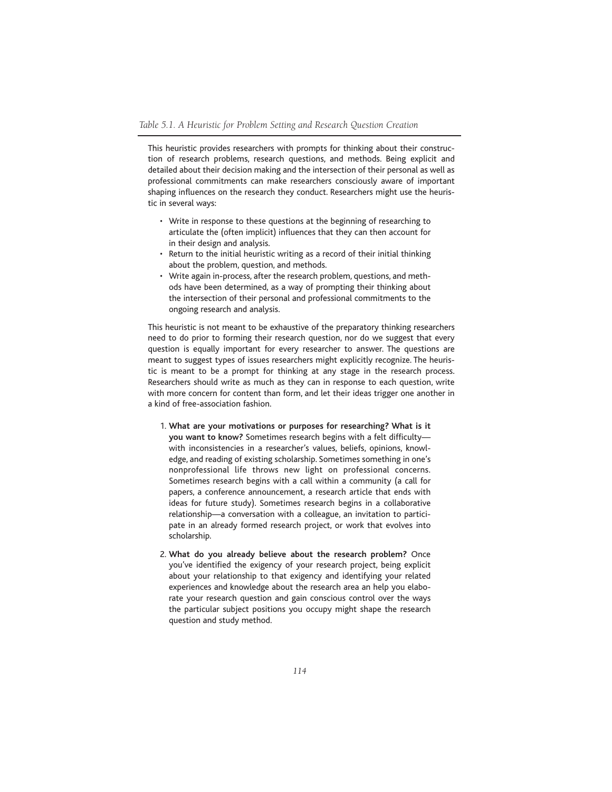This heuristic provides researchers with prompts for thinking about their construction of research problems, research questions, and methods. Being explicit and detailed about their decision making and the intersection of their personal as well as professional commitments can make researchers consciously aware of important shaping influences on the research they conduct. Researchers might use the heuristic in several ways:

- Write in response to these questions at the beginning of researching to articulate the (often implicit) influences that they can then account for in their design and analysis.
- Return to the initial heuristic writing as a record of their initial thinking about the problem, question, and methods.
- Write again in-process, after the research problem, questions, and methods have been determined, as a way of prompting their thinking about the intersection of their personal and professional commitments to the ongoing research and analysis.

This heuristic is not meant to be exhaustive of the preparatory thinking researchers need to do prior to forming their research question, nor do we suggest that every question is equally important for every researcher to answer. The questions are meant to suggest types of issues researchers might explicitly recognize. The heuristic is meant to be a prompt for thinking at any stage in the research process. Researchers should write as much as they can in response to each question, write with more concern for content than form, and let their ideas trigger one another in a kind of free-association fashion.

- 1. **What are your motivations or purposes for researching? What is it you want to know?** Sometimes research begins with a felt difficulty with inconsistencies in a researcher's values, beliefs, opinions, knowledge, and reading of existing scholarship. Sometimes something in one's nonprofessional life throws new light on professional concerns. Sometimes research begins with a call within a community (a call for papers, a conference announcement, a research article that ends with ideas for future study). Sometimes research begins in a collaborative relationship—a conversation with a colleague, an invitation to participate in an already formed research project, or work that evolves into scholarship.
- 2. **What do you already believe about the research problem?** Once you've identified the exigency of your research project, being explicit about your relationship to that exigency and identifying your related experiences and knowledge about the research area an help you elaborate your research question and gain conscious control over the ways the particular subject positions you occupy might shape the research question and study method.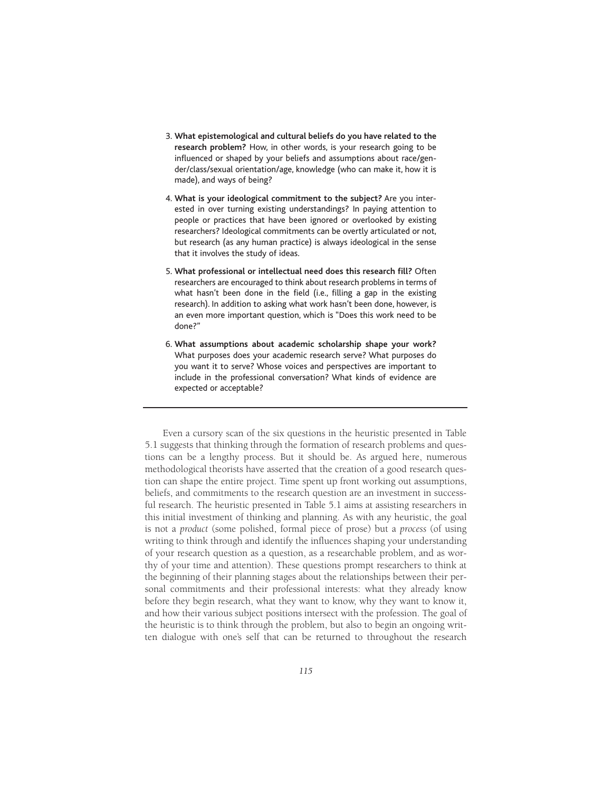- 3. **What epistemological and cultural beliefs do you have related to the research problem?** How, in other words, is your research going to be influenced or shaped by your beliefs and assumptions about race/gender/class/sexual orientation/age, knowledge (who can make it, how it is made), and ways of being?
- 4. **What is your ideological commitment to the subject?** Are you interested in over turning existing understandings? In paying attention to people or practices that have been ignored or overlooked by existing researchers? Ideological commitments can be overtly articulated or not, but research (as any human practice) is always ideological in the sense that it involves the study of ideas.
- 5. **What professional or intellectual need does this research fill?** Often researchers are encouraged to think about research problems in terms of what hasn't been done in the field (i.e., filling a gap in the existing research). In addition to asking what work hasn't been done, however, is an even more important question, which is "Does this work need to be done?"
- 6. **What assumptions about academic scholarship shape your work?** What purposes does your academic research serve? What purposes do you want it to serve? Whose voices and perspectives are important to include in the professional conversation? What kinds of evidence are expected or acceptable?

Even a cursory scan of the six questions in the heuristic presented in Table 5.1 suggests that thinking through the formation of research problems and questions can be a lengthy process. But it should be. As argued here, numerous methodological theorists have asserted that the creation of a good research question can shape the entire project. Time spent up front working out assumptions, beliefs, and commitments to the research question are an investment in successful research. The heuristic presented in Table 5.1 aims at assisting researchers in this initial investment of thinking and planning. As with any heuristic, the goal is not a *product* (some polished, formal piece of prose) but a *process* (of using writing to think through and identify the influences shaping your understanding of your research question as a question, as a researchable problem, and as worthy of your time and attention). These questions prompt researchers to think at the beginning of their planning stages about the relationships between their personal commitments and their professional interests: what they already know before they begin research, what they want to know, why they want to know it, and how their various subject positions intersect with the profession. The goal of the heuristic is to think through the problem, but also to begin an ongoing written dialogue with one's self that can be returned to throughout the research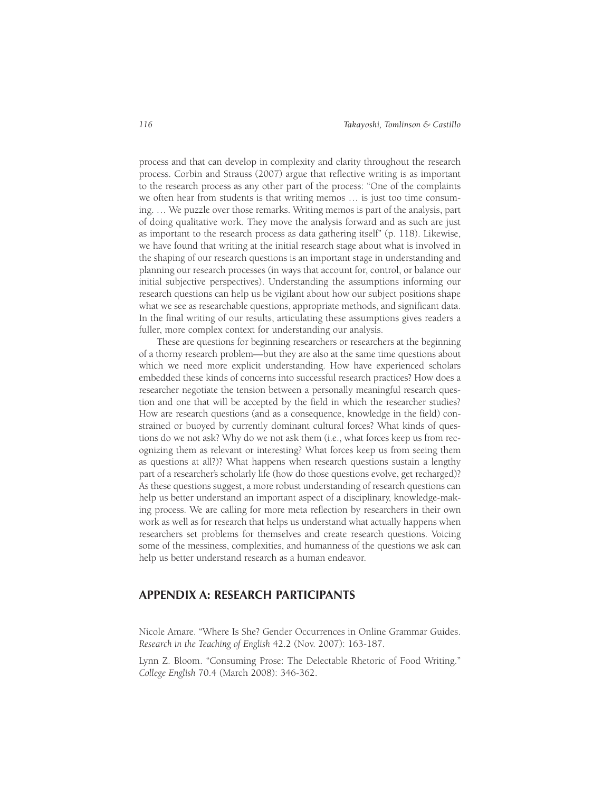process and that can develop in complexity and clarity throughout the research process. Corbin and Strauss (2007) argue that reflective writing is as important to the research process as any other part of the process: "One of the complaints we often hear from students is that writing memos … is just too time consuming. … We puzzle over those remarks. Writing memos is part of the analysis, part of doing qualitative work. They move the analysis forward and as such are just as important to the research process as data gathering itself" (p. 118). Likewise, we have found that writing at the initial research stage about what is involved in the shaping of our research questions is an important stage in understanding and planning our research processes (in ways that account for, control, or balance our initial subjective perspectives). Understanding the assumptions informing our research questions can help us be vigilant about how our subject positions shape what we see as researchable questions, appropriate methods, and significant data. In the final writing of our results, articulating these assumptions gives readers a fuller, more complex context for understanding our analysis.

These are questions for beginning researchers or researchers at the beginning of a thorny research problem—but they are also at the same time questions about which we need more explicit understanding. How have experienced scholars embedded these kinds of concerns into successful research practices? How does a researcher negotiate the tension between a personally meaningful research question and one that will be accepted by the field in which the researcher studies? How are research questions (and as a consequence, knowledge in the field) constrained or buoyed by currently dominant cultural forces? What kinds of questions do we not ask? Why do we not ask them (i.e., what forces keep us from recognizing them as relevant or interesting? What forces keep us from seeing them as questions at all?)? What happens when research questions sustain a lengthy part of a researcher's scholarly life (how do those questions evolve, get recharged)? As these questions suggest, a more robust understanding of research questions can help us better understand an important aspect of a disciplinary, knowledge-making process. We are calling for more meta reflection by researchers in their own work as well as for research that helps us understand what actually happens when researchers set problems for themselves and create research questions. Voicing some of the messiness, complexities, and humanness of the questions we ask can help us better understand research as a human endeavor.

### **APPENDIX A: RESEARCH PARTICIPANTS**

Nicole Amare. "Where Is She? Gender Occurrences in Online Grammar Guides. *Research in the Teaching of English* 42.2 (Nov. 2007): 163-187.

Lynn Z. Bloom. "Consuming Prose: The Delectable Rhetoric of Food Writing." *College English* 70.4 (March 2008): 346-362.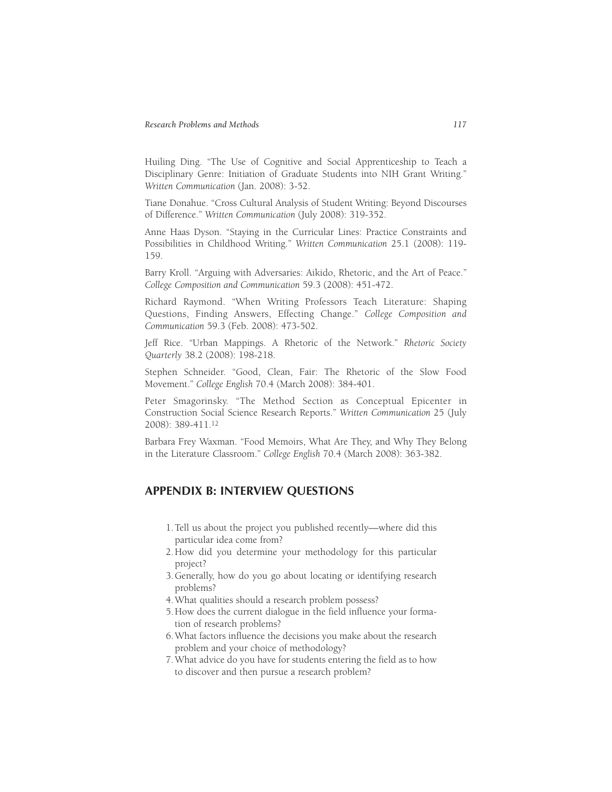Huiling Ding. "The Use of Cognitive and Social Apprenticeship to Teach a Disciplinary Genre: Initiation of Graduate Students into NIH Grant Writing." *Written Communication* (Jan. 2008): 3-52.

Tiane Donahue. "Cross Cultural Analysis of Student Writing: Beyond Discourses of Difference." *Written Communication* (July 2008): 319-352.

Anne Haas Dyson. "Staying in the Curricular Lines: Practice Constraints and Possibilities in Childhood Writing." *Written Communication* 25.1 (2008): 119- 159.

Barry Kroll. "Arguing with Adversaries: Aikido, Rhetoric, and the Art of Peace." *College Composition and Communication* 59.3 (2008): 451-472.

Richard Raymond. "When Writing Professors Teach Literature: Shaping Questions, Finding Answers, Effecting Change." *College Composition and Communication* 59.3 (Feb. 2008): 473-502.

Jeff Rice. "Urban Mappings. A Rhetoric of the Network." *Rhetoric Society Quarterly* 38.2 (2008): 198-218.

Stephen Schneider. "Good, Clean, Fair: The Rhetoric of the Slow Food Movement." *College English* 70.4 (March 2008): 384-401.

Peter Smagorinsky. "The Method Section as Conceptual Epicenter in Construction Social Science Research Reports." *Written Communication* 25 (July 2008): 389-411.12

Barbara Frey Waxman. "Food Memoirs, What Are They, and Why They Belong in the Literature Classroom." *College English* 70.4 (March 2008): 363-382.

# **APPENDIX B: INTERVIEW QUESTIONS**

- 1.Tell us about the project you published recently—where did this particular idea come from?
- 2.How did you determine your methodology for this particular project?
- 3.Generally, how do you go about locating or identifying research problems?
- 4.What qualities should a research problem possess?
- 5.How does the current dialogue in the field influence your formation of research problems?
- 6.What factors influence the decisions you make about the research problem and your choice of methodology?
- 7.What advice do you have for students entering the field as to how to discover and then pursue a research problem?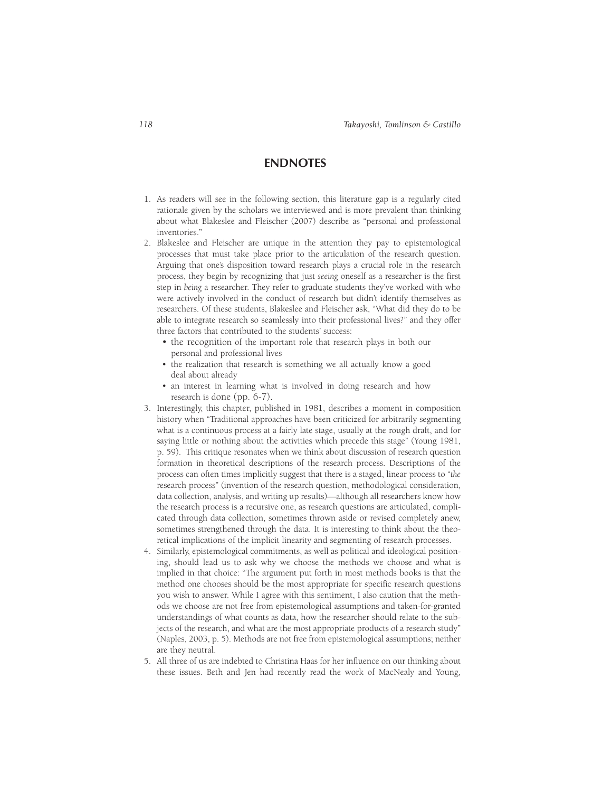#### **ENDNOTES**

- 1. As readers will see in the following section, this literature gap is a regularly cited rationale given by the scholars we interviewed and is more prevalent than thinking about what Blakeslee and Fleischer (2007) describe as "personal and professional inventories."
- 2. Blakeslee and Fleischer are unique in the attention they pay to epistemological processes that must take place prior to the articulation of the research question. Arguing that one's disposition toward research plays a crucial role in the research process, they begin by recognizing that just *seeing* oneself as a researcher is the first step in *being* a researcher. They refer to graduate students they've worked with who were actively involved in the conduct of research but didn't identify themselves as researchers. Of these students, Blakeslee and Fleischer ask, "What did they do to be able to integrate research so seamlessly into their professional lives?" and they offer three factors that contributed to the students' success:
	- the recognition of the important role that research plays in both our personal and professional lives
	- the realization that research is something we all actually know a good deal about already
	- an interest in learning what is involved in doing research and how research is done (pp. 6-7).
- 3. Interestingly, this chapter, published in 1981, describes a moment in composition history when "Traditional approaches have been criticized for arbitrarily segmenting what is a continuous process at a fairly late stage, usually at the rough draft, and for saying little or nothing about the activities which precede this stage" (Young 1981, p. 59). This critique resonates when we think about discussion of research question formation in theoretical descriptions of the research process. Descriptions of the process can often times implicitly suggest that there is a staged, linear process to "*the* research process" (invention of the research question, methodological consideration, data collection, analysis, and writing up results)—although all researchers know how the research process is a recursive one, as research questions are articulated, complicated through data collection, sometimes thrown aside or revised completely anew, sometimes strengthened through the data. It is interesting to think about the theoretical implications of the implicit linearity and segmenting of research processes.
- 4. Similarly, epistemological commitments, as well as political and ideological positioning, should lead us to ask why we choose the methods we choose and what is implied in that choice: "The argument put forth in most methods books is that the method one chooses should be the most appropriate for specific research questions you wish to answer. While I agree with this sentiment, I also caution that the methods we choose are not free from epistemological assumptions and taken-for-granted understandings of what counts as data, how the researcher should relate to the subjects of the research, and what are the most appropriate products of a research study" (Naples, 2003, p. 5). Methods are not free from epistemological assumptions; neither are they neutral.
- 5. All three of us are indebted to Christina Haas for her influence on our thinking about these issues. Beth and Jen had recently read the work of MacNealy and Young,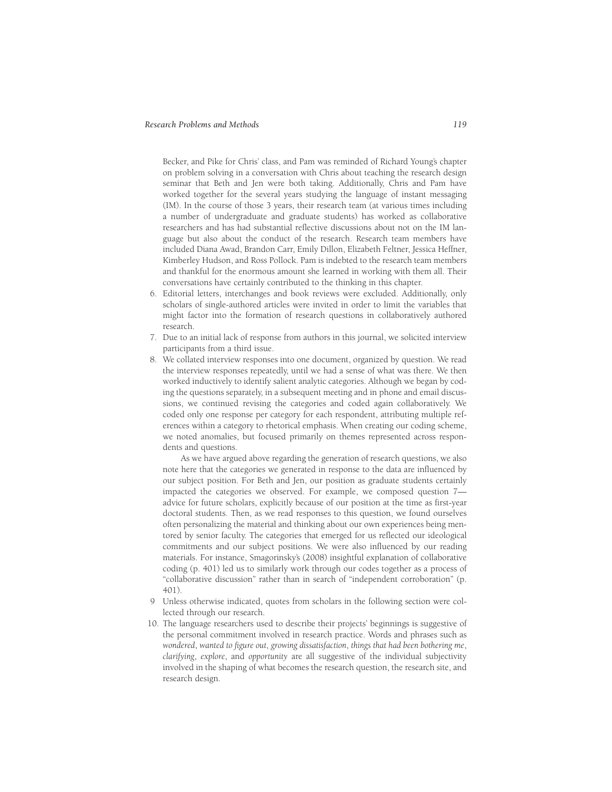Becker, and Pike for Chris' class, and Pam was reminded of Richard Young's chapter on problem solving in a conversation with Chris about teaching the research design seminar that Beth and Jen were both taking. Additionally, Chris and Pam have worked together for the several years studying the language of instant messaging (IM). In the course of those 3 years, their research team (at various times including a number of undergraduate and graduate students) has worked as collaborative researchers and has had substantial reflective discussions about not on the IM language but also about the conduct of the research. Research team members have included Diana Awad, Brandon Carr, Emily Dillon, Elizabeth Feltner, Jessica Heffner, Kimberley Hudson, and Ross Pollock. Pam is indebted to the research team members and thankful for the enormous amount she learned in working with them all. Their conversations have certainly contributed to the thinking in this chapter.

- 6. Editorial letters, interchanges and book reviews were excluded. Additionally, only scholars of single-authored articles were invited in order to limit the variables that might factor into the formation of research questions in collaboratively authored research.
- 7. Due to an initial lack of response from authors in this journal, we solicited interview participants from a third issue.
- 8. We collated interview responses into one document, organized by question. We read the interview responses repeatedly, until we had a sense of what was there. We then worked inductively to identify salient analytic categories. Although we began by coding the questions separately, in a subsequent meeting and in phone and email discussions, we continued revising the categories and coded again collaboratively. We coded only one response per category for each respondent, attributing multiple references within a category to rhetorical emphasis. When creating our coding scheme, we noted anomalies, but focused primarily on themes represented across respondents and questions.

As we have argued above regarding the generation of research questions, we also note here that the categories we generated in response to the data are influenced by our subject position. For Beth and Jen, our position as graduate students certainly impacted the categories we observed. For example, we composed question 7 advice for future scholars, explicitly because of our position at the time as first-year doctoral students. Then, as we read responses to this question, we found ourselves often personalizing the material and thinking about our own experiences being mentored by senior faculty. The categories that emerged for us reflected our ideological commitments and our subject positions. We were also influenced by our reading materials. For instance, Smagorinsky's (2008) insightful explanation of collaborative coding (p. 401) led us to similarly work through our codes together as a process of "collaborative discussion" rather than in search of "independent corroboration" (p. 401).

- 9 Unless otherwise indicated, quotes from scholars in the following section were collected through our research.
- 10. The language researchers used to describe their projects' beginnings is suggestive of the personal commitment involved in research practice. Words and phrases such as *wondered*, *wanted to figure out*, *growing dissatisfaction*, *things that had been bothering me*, *clarifying*, *explore*, and *opportunity* are all suggestive of the individual subjectivity involved in the shaping of what becomes the research question, the research site, and research design.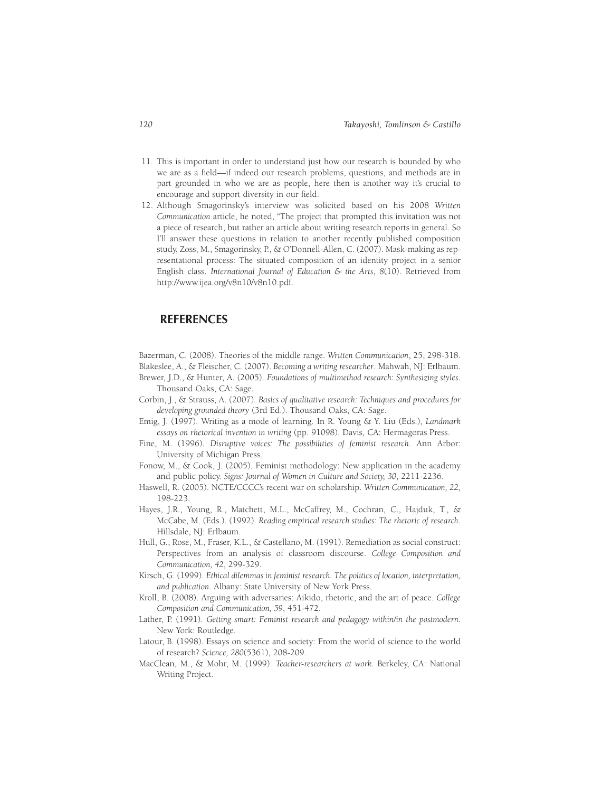- 11. This is important in order to understand just how our research is bounded by who we are as a field—if indeed our research problems, questions, and methods are in part grounded in who we are as people, here then is another way it's crucial to encourage and support diversity in our field.
- 12. Although Smagorinsky's interview was solicited based on his 2008 *Written Communication* article, he noted, "The project that prompted this invitation was not a piece of research, but rather an article about writing research reports in general. So I'll answer these questions in relation to another recently published composition study, Zoss, M., Smagorinsky, P., & O'Donnell-Allen, C. (2007). Mask-making as representational process: The situated composition of an identity project in a senior English class. *International Journal of Education & the Arts*, *8*(10). Retrieved from http://www.ijea.org/v8n10/v8n10.pdf.

#### **REFERENCES**

Bazerman, C. (2008). Theories of the middle range. *Written Communication*, 25, 298-318. Blakeslee, A., & Fleischer, C. (2007). *Becoming a writing researcher*. Mahwah, NJ: Erlbaum. Brewer, J.D., & Hunter, A. (2005). *Foundations of multimethod research: Synthesizing styles*. Thousand Oaks, CA: Sage.

- Corbin, J., & Strauss, A. (2007). *Basics of qualitative research: Techniques and procedures for developing grounded theory* (3rd Ed.). Thousand Oaks, CA: Sage.
- Emig, J. (1997). Writing as a mode of learning. In R. Young & Y. Liu (Eds.), *Landmark essays on rhetorical invention in writing* (pp. 91098). Davis, CA: Hermagoras Press.
- Fine, M. (1996). *Disruptive voices: The possibilities of feminist research*. Ann Arbor: University of Michigan Press.
- Fonow, M., & Cook, J. (2005). Feminist methodology: New application in the academy and public policy. *Signs: Journal of Women in Culture and Society, 30*, 2211-2236.
- Haswell, R. (2005). NCTE/CCCC's recent war on scholarship. *Written Communication, 22*, 198-223.
- Hayes, J.R., Young, R., Matchett, M.L., McCaffrey, M., Cochran, C., Hajduk, T., & McCabe, M. (Eds.). (1992). *Reading empirical research studies: The rhetoric of research*. Hillsdale, NJ: Erlbaum.
- Hull, G., Rose, M., Fraser, K.L., & Castellano, M. (1991). Remediation as social construct: Perspectives from an analysis of classroom discourse. *College Composition and Communication, 42*, 299-329.
- Kirsch, G. (1999). *Ethical dilemmas in feminist research. The politics of location, interpretation, and publication*. Albany: State University of New York Press.
- Kroll, B. (2008). Arguing with adversaries: Aikido, rhetoric, and the art of peace. *College Composition and Communication, 59*, 451-472.
- Lather, P. (1991). *Getting smart: Feminist research and pedagogy within/in the postmodern.* New York: Routledge.
- Latour, B. (1998). Essays on science and society: From the world of science to the world of research? *Science, 280*(5361), 208-209.
- MacClean, M., & Mohr, M. (1999). *Teacher-researchers at work.* Berkeley, CA: National Writing Project.